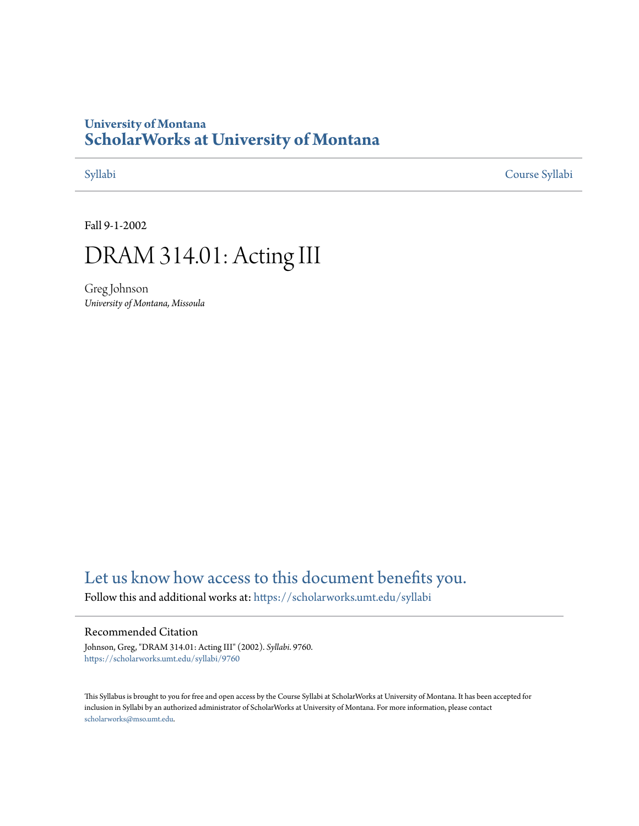## **University of Montana [ScholarWorks at University of Montana](https://scholarworks.umt.edu?utm_source=scholarworks.umt.edu%2Fsyllabi%2F9760&utm_medium=PDF&utm_campaign=PDFCoverPages)**

[Syllabi](https://scholarworks.umt.edu/syllabi?utm_source=scholarworks.umt.edu%2Fsyllabi%2F9760&utm_medium=PDF&utm_campaign=PDFCoverPages) [Course Syllabi](https://scholarworks.umt.edu/course_syllabi?utm_source=scholarworks.umt.edu%2Fsyllabi%2F9760&utm_medium=PDF&utm_campaign=PDFCoverPages)

Fall 9-1-2002

# DRAM 314.01: Acting III

Greg Johnson *University of Montana, Missoula*

## [Let us know how access to this document benefits you.](https://goo.gl/forms/s2rGfXOLzz71qgsB2)

Follow this and additional works at: [https://scholarworks.umt.edu/syllabi](https://scholarworks.umt.edu/syllabi?utm_source=scholarworks.umt.edu%2Fsyllabi%2F9760&utm_medium=PDF&utm_campaign=PDFCoverPages)

### Recommended Citation

Johnson, Greg, "DRAM 314.01: Acting III" (2002). *Syllabi*. 9760. [https://scholarworks.umt.edu/syllabi/9760](https://scholarworks.umt.edu/syllabi/9760?utm_source=scholarworks.umt.edu%2Fsyllabi%2F9760&utm_medium=PDF&utm_campaign=PDFCoverPages)

This Syllabus is brought to you for free and open access by the Course Syllabi at ScholarWorks at University of Montana. It has been accepted for inclusion in Syllabi by an authorized administrator of ScholarWorks at University of Montana. For more information, please contact [scholarworks@mso.umt.edu](mailto:scholarworks@mso.umt.edu).